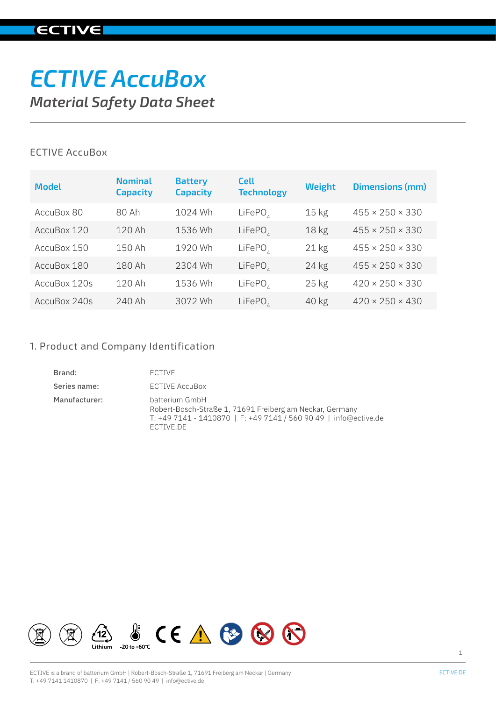## **ECTIVE**

# *ECTIVE AccuBox Material Safety Data Sheet*

## ECTIVE AccuBox

| <b>Model</b> | <b>Nominal</b><br><b>Capacity</b> | <b>Battery</b><br><b>Capacity</b> | <b>Cell</b><br><b>Technology</b> | <b>Weight</b>    | <b>Dimensions (mm)</b>      |
|--------------|-----------------------------------|-----------------------------------|----------------------------------|------------------|-----------------------------|
| AccuBox 80   | 80 Ah                             | 1024 Wh                           | LiFePO <sub>A</sub>              | $15 \text{ kg}$  | $455 \times 250 \times 330$ |
| AccuBox 120  | 120 Ah                            | 1536 Wh                           | LiFePO <sub>A</sub>              | 18 <sub>kg</sub> | $455 \times 250 \times 330$ |
| AccuBox 150  | 150 Ah                            | 1920 Wh                           | LiFePO,                          | $21$ kg          | $455 \times 250 \times 330$ |
| AccuBox 180  | 180 Ah                            | 2304 Wh                           | LiFePO <sub>A</sub>              | $24$ kg          | $455 \times 250 \times 330$ |
| AccuBox 120s | 120 Ah                            | 1536 Wh                           | LiFePO <sub>A</sub>              | $25$ kg          | $420 \times 250 \times 330$ |
| AccuBox 240s | 240 Ah                            | 3072 Wh                           | LiFePO                           | 40 kg            | $420 \times 250 \times 430$ |

## 1. Product and Company Identification

| Brand:        | <b>FCTIVE</b>                                                                                                                                               |
|---------------|-------------------------------------------------------------------------------------------------------------------------------------------------------------|
| Series name:  | <b>ECTIVE AccuBox</b>                                                                                                                                       |
| Manufacturer: | batterium GmbH<br>Robert-Bosch-Straße 1, 71691 Freiberg am Neckar, Germany<br>T: +49 7141 - 1410870   F: +49 7141 / 560 90 49   info@ective.de<br>ECTIVE.DE |

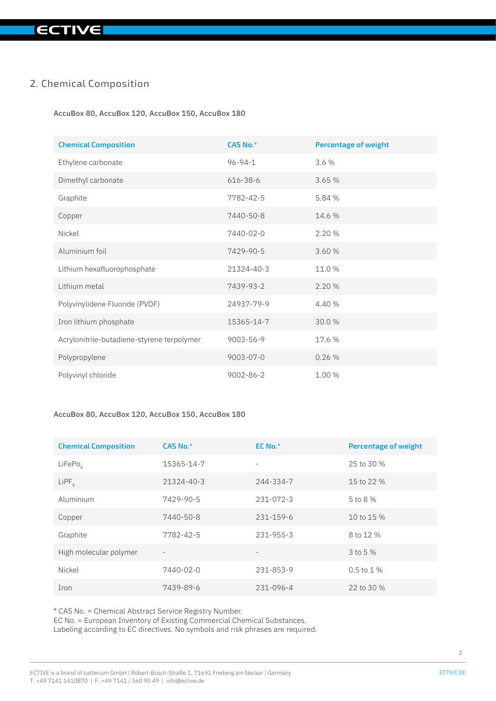## 2. Chemical Composition

AccuBox 80, AccuBox 120, AccuBox 150, AccuBox 180

| <b>Chemical Composition</b>                | CAS No.*        | <b>Percentage of weight</b> |
|--------------------------------------------|-----------------|-----------------------------|
| Ethylene carbonate                         | $96 - 94 - 1$   | 3.6%                        |
| Dimethyl carbonate                         | 616-38-6        | 3.65 %                      |
| Graphite                                   | 7782-42-5       | 5.84 %                      |
| Copper                                     | 7440-50-8       | 14.6 %                      |
| Nickel                                     | $7440 - 02 - 0$ | 2.20%                       |
| Aluminium foil                             | 7429-90-5       | 3.60 %                      |
| Lithium hexafluorophosphate                | 21324-40-3      | 11.0 %                      |
| Lithium metal                              | 7439-93-2       | 2.20 %                      |
| Polyvinylidene Fluoride (PVDF)             | 24937-79-9      | 4.40 %                      |
| Iron lithium phosphate                     | 15365-14-7      | 30.0%                       |
| Acrylonitrile-butadiene-styrene terpolymer | 9003-56-9       | 17.6 %                      |
| Polypropylene                              | 9003-07-0       | 0.26%                       |
| Polyvinyl chloride                         | 9002-86-2       | 1.00 %                      |

#### AccuBox 80, AccuBox 120, AccuBox 150, AccuBox 180

| <b>Chemical Composition</b> | CAS No.*                 | $EC$ No. $*$ | <b>Percentage of weight</b> |
|-----------------------------|--------------------------|--------------|-----------------------------|
| LiFePo <sub>A</sub>         | 15365-14-7               |              | 25 to 30 %                  |
| $L$ i $PF6$                 | 21324-40-3               | 244-334-7    | 15 to 22 %                  |
| Aluminium                   | 7429-90-5                | 231-072-3    | 5 to 8 %                    |
| Copper                      | 7440-50-8                | 231-159-6    | 10 to 15 %                  |
| Graphite                    | 7782-42-5                | 231-955-3    | 8 to 12 %                   |
| High molecular polymer      | $\overline{\phantom{a}}$ |              | 3 to 5 %                    |
| Nickel                      | 7440-02-0                | 231-853-9    | $0.5$ to $1\%$              |
| Iron                        | 7439-89-6                | 231-096-4    | 22 to 30 %                  |

\* CAS No. = Chemical Abstract Service Registry Number.

EC No. = European Inventory of Existing Commercial Chemical Substances. Labeling according to EC directives. No symbols and risk phrases are required.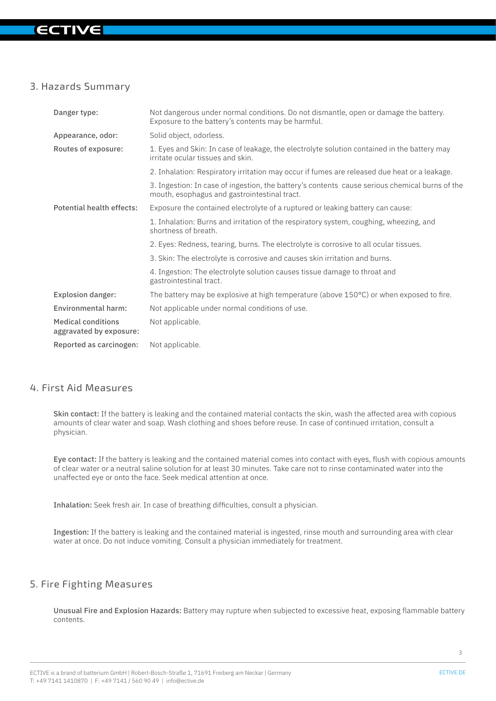## IV

## 3. Hazards Summary

| Danger type:                                         | Not dangerous under normal conditions. Do not dismantle, open or damage the battery.<br>Exposure to the battery's contents may be harmful.     |
|------------------------------------------------------|------------------------------------------------------------------------------------------------------------------------------------------------|
| Appearance, odor:                                    | Solid object, odorless.                                                                                                                        |
| Routes of exposure:                                  | 1. Eyes and Skin: In case of leakage, the electrolyte solution contained in the battery may<br>irritate ocular tissues and skin.               |
|                                                      | 2. Inhalation: Respiratory irritation may occur if fumes are released due heat or a leakage.                                                   |
|                                                      | 3. Ingestion: In case of ingestion, the battery's contents cause serious chemical burns of the<br>mouth, esophagus and gastrointestinal tract. |
| <b>Potential health effects:</b>                     | Exposure the contained electrolyte of a ruptured or leaking battery can cause:                                                                 |
|                                                      | 1. Inhalation: Burns and irritation of the respiratory system, coughing, wheezing, and<br>shortness of breath.                                 |
|                                                      | 2. Eyes: Redness, tearing, burns. The electrolyte is corrosive to all ocular tissues.                                                          |
|                                                      | 3. Skin: The electrolyte is corrosive and causes skin irritation and burns.                                                                    |
|                                                      | 4. Ingestion: The electrolyte solution causes tissue damage to throat and<br>gastrointestinal tract.                                           |
| <b>Explosion danger:</b>                             | The battery may be explosive at high temperature (above $150^{\circ}$ C) or when exposed to fire.                                              |
| <b>Environmental harm:</b>                           | Not applicable under normal conditions of use.                                                                                                 |
| <b>Medical conditions</b><br>aggravated by exposure: | Not applicable.                                                                                                                                |
| Reported as carcinogen:                              | Not applicable.                                                                                                                                |

## 4. First Aid Measures

Skin contact: If the battery is leaking and the contained material contacts the skin, wash the affected area with copious amounts of clear water and soap. Wash clothing and shoes before reuse. In case of continued irritation, consult a physician.

Eye contact: If the battery is leaking and the contained material comes into contact with eyes, flush with copious amounts of clear water or a neutral saline solution for at least 30 minutes. Take care not to rinse contaminated water into the unaffected eye or onto the face. Seek medical attention at once.

Inhalation: Seek fresh air. In case of breathing difficulties, consult a physician.

Ingestion: If the battery is leaking and the contained material is ingested, rinse mouth and surrounding area with clear water at once. Do not induce vomiting. Consult a physician immediately for treatment.

## 5. Fire Fighting Measures

Unusual Fire and Explosion Hazards: Battery may rupture when subjected to excessive heat, exposing flammable battery contents.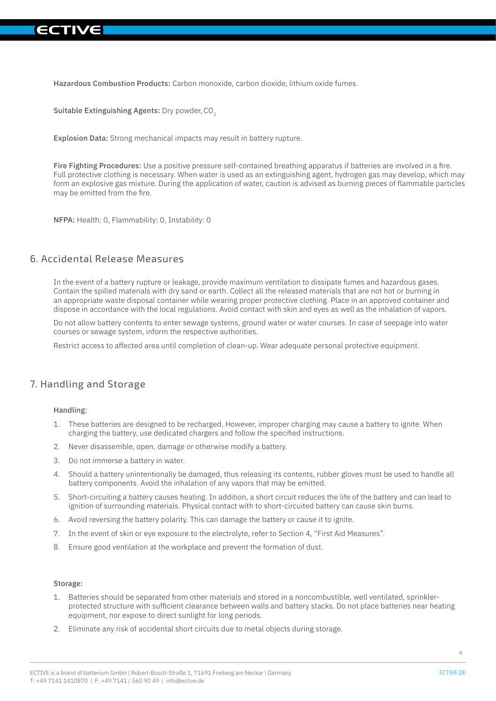Hazardous Combustion Products: Carbon monoxide, carbon dioxide, lithium oxide fumes.

Suitable Extinguishing Agents: Dry powder, CO<sub>2</sub>

Explosion Data: Strong mechanical impacts may result in battery rupture.

Fire Fighting Procedures: Use a positive pressure self-contained breathing apparatus if batteries are involved in a fire. Full protective clothing is necessary. When water is used as an extinguishing agent, hydrogen gas may develop, which may form an explosive gas mixture. During the application of water, caution is advised as burning pieces of flammable particles may be emitted from the fire.

NFPA: Health: 0, Flammability: 0, Instability: 0

#### 6. Accidental Release Measures

In the event of a battery rupture or leakage, provide maximum ventilation to dissipate fumes and hazardous gases. Contain the spilled materials with dry sand or earth. Collect all the released materials that are not hot or burning in an appropriate waste disposal container while wearing proper protective clothing. Place in an approved container and dispose in accordance with the local regulations. Avoid contact with skin and eyes as well as the inhalation of vapors.

Do not allow battery contents to enter sewage systems, ground water or water courses. In case of seepage into water courses or sewage system, inform the respective authorities.

Restrict access to affected area until completion of clean-up. Wear adequate personal protective equipment.

## 7. Handling and Storage

#### Handling:

- 1. These batteries are designed to be recharged. However, improper charging may cause a battery to ignite. When charging the battery, use dedicated chargers and follow the specified instructions.
- 2. Never disassemble, open, damage or otherwise modify a battery.
- 3. Do not immerse a battery in water.
- 4. Should a battery unintentionally be damaged, thus releasing its contents, rubber gloves must be used to handle all battery components. Avoid the inhalation of any vapors that may be emitted.
- 5. Short-circuiting a battery causes heating. In addition, a short circuit reduces the life of the battery and can lead to ignition of surrounding materials. Physical contact with to short-circuited battery can cause skin burns.
- 6. Avoid reversing the battery polarity. This can damage the battery or cause it to ignite.
- 7. In the event of skin or eye exposure to the electrolyte, refer to Section 4, "First Aid Measures".
- 8. Ensure good ventilation at the workplace and prevent the formation of dust.

#### Storage:

- 1. Batteries should be separated from other materials and stored in a noncombustible, well ventilated, sprinklerprotected structure with sufficient clearance between walls and battery stacks. Do not place batteries near heating equipment, nor expose to direct sunlight for long periods.
- 2. Eliminate any risk of accidental short circuits due to metal objects during storage.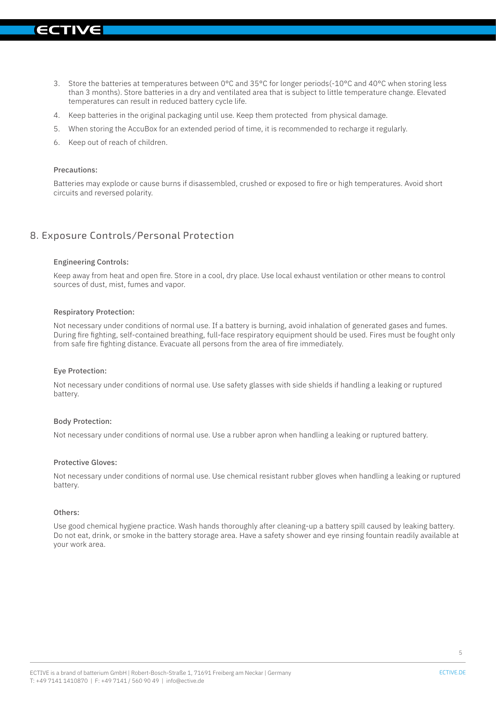- 3. Store the batteries at temperatures between 0°C and 35°C for longer periods(-10°C and 40°C when storing less than 3 months). Store batteries in a dry and ventilated area that is subject to little temperature change. Elevated temperatures can result in reduced battery cycle life.
- 4. Keep batteries in the original packaging until use. Keep them protected from physical damage.
- 5. When storing the AccuBox for an extended period of time, it is recommended to recharge it regularly.
- 6. Keep out of reach of children.

#### Precautions:

Batteries may explode or cause burns if disassembled, crushed or exposed to fire or high temperatures. Avoid short circuits and reversed polarity.

## 8. Exposure Controls/Personal Protection

#### Engineering Controls:

Keep away from heat and open fire. Store in a cool, dry place. Use local exhaust ventilation or other means to control sources of dust, mist, fumes and vapor.

#### Respiratory Protection:

Not necessary under conditions of normal use. If a battery is burning, avoid inhalation of generated gases and fumes. During fire fighting, self-contained breathing, full-face respiratory equipment should be used. Fires must be fought only from safe fire fighting distance. Evacuate all persons from the area of fire immediately.

#### Eye Protection:

Not necessary under conditions of normal use. Use safety glasses with side shields if handling a leaking or ruptured battery.

#### Body Protection:

Not necessary under conditions of normal use. Use a rubber apron when handling a leaking or ruptured battery.

#### Protective Gloves:

Not necessary under conditions of normal use. Use chemical resistant rubber gloves when handling a leaking or ruptured battery.

#### Others:

Use good chemical hygiene practice. Wash hands thoroughly after cleaning-up a battery spill caused by leaking battery. Do not eat, drink, or smoke in the battery storage area. Have a safety shower and eye rinsing fountain readily available at your work area.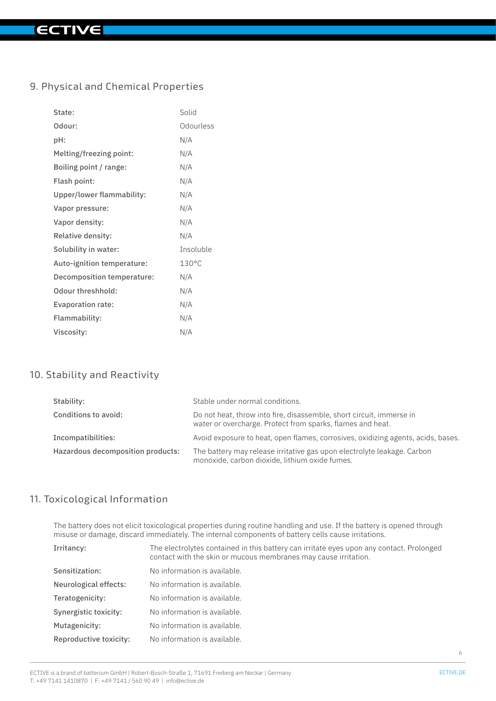## 9. Physical and Chemical Properties

| State:                     | Solid           |
|----------------------------|-----------------|
| Odour:                     | Odourless       |
| pH:                        | N/A             |
| Melting/freezing point:    | N/A             |
| Boiling point / range:     | N/A             |
| Flash point:               | N/A             |
| Upper/lower flammability:  | N/A             |
| Vapor pressure:            | N/A             |
| Vapor density:             | N/A             |
| Relative density:          | N/A             |
| Solubility in water:       | Insoluble       |
| Auto-ignition temperature: | $130^{\circ}$ C |
| Decomposition temperature: | N/A             |
| Odour threshhold:          | N/A             |
| Evaporation rate:          | N/A             |
| Flammability:              | N/A             |
| Viscosity:                 | N/A             |

## 10. Stability and Reactivity

| Stability:                        | Stable under normal conditions.                                                                                                    |
|-----------------------------------|------------------------------------------------------------------------------------------------------------------------------------|
| Conditions to avoid:              | Do not heat, throw into fire, disassemble, short circuit, immerse in<br>water or overcharge. Protect from sparks, flames and heat. |
| Incompatibilities:                | Avoid exposure to heat, open flames, corrosives, oxidizing agents, acids, bases.                                                   |
| Hazardous decomposition products: | The battery may release irritative gas upon electrolyte leakage. Carbon<br>monoxide, carbon dioxide, lithium oxide fumes.          |

## 11. Toxicological Information

The battery does not elicit toxicological properties during routine handling and use. If the battery is opened through misuse or damage, discard immediately. The internal components of battery cells cause irritations.

| Irritancy:             | The electrolytes contained in this battery can irritate eyes upon any contact. Prolonged<br>contact with the skin or mucous membranes may cause irritation. |
|------------------------|-------------------------------------------------------------------------------------------------------------------------------------------------------------|
| Sensitization:         | No information is available.                                                                                                                                |
| Neurological effects:  | No information is available.                                                                                                                                |
| Teratogenicity:        | No information is available.                                                                                                                                |
| Synergistic toxicity:  | No information is available.                                                                                                                                |
| Mutagenicity:          | No information is available.                                                                                                                                |
| Reproductive toxicity: | No information is available.                                                                                                                                |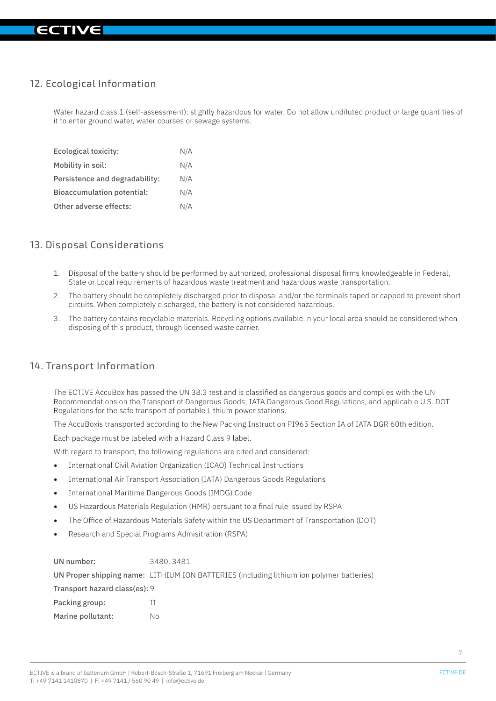## 12. Ecological Information

Water hazard class 1 (self-assessment): slightly hazardous for water. Do not allow undiluted product or large quantities of it to enter ground water, water courses or sewage systems.

| Ecological toxicity:           | N/A |
|--------------------------------|-----|
| Mobility in soil:              | N/A |
| Persistence and degradability: | N/A |
| Bioaccumulation potential:     | N/A |
| Other adverse effects:         | N/A |

### 13. Disposal Considerations

- 1. Disposal of the battery should be performed by authorized, professional disposal firms knowledgeable in Federal, State or Local requirements of hazardous waste treatment and hazardous waste transportation.
- 2. The battery should be completely discharged prior to disposal and/or the terminals taped or capped to prevent short circuits. When completely discharged, the battery is not considered hazardous.
- 3. The battery contains recyclable materials. Recycling options available in your local area should be considered when disposing of this product, through licensed waste carrier.

## 14. Transport Information

The ECTIVE AccuBox has passed the UN 38.3 test and is classified as dangerous goods and complies with the UN Recommendations on the Transport of Dangerous Goods; IATA Dangerous Good Regulations, and applicable U.S. DOT Regulations for the safe transport of portable Lithium power stations.

The AccuBoxis transported according to the New Packing Instruction PI965 Section IA of IATA DGR 60th edition.

Each package must be labeled with a Hazard Class 9 label.

With regard to transport, the following regulations are cited and considered:

- International Civil Aviation Organization (ICAO) Technical Instructions
- International Air Transport Association (IATA) Dangerous Goods Regulations
- International Maritime Dangerous Goods (IMDG) Code
- US Hazardous Materials Regulation (HMR) persuant to a final rule issued by RSPA
- The Office of Hazardous Materials Safety within the US Department of Transportation (DOT)
- Research and Special Programs Admisitration (RSPA)

| UN number:                    | 3480.3481                                                                                |
|-------------------------------|------------------------------------------------------------------------------------------|
|                               | UN Proper shipping name: LITHIUM ION BATTERIES (including lithium ion polymer batteries) |
| Transport hazard class(es): 9 |                                                                                          |
| Packing group:                |                                                                                          |
| Marine pollutant:             | Nο                                                                                       |